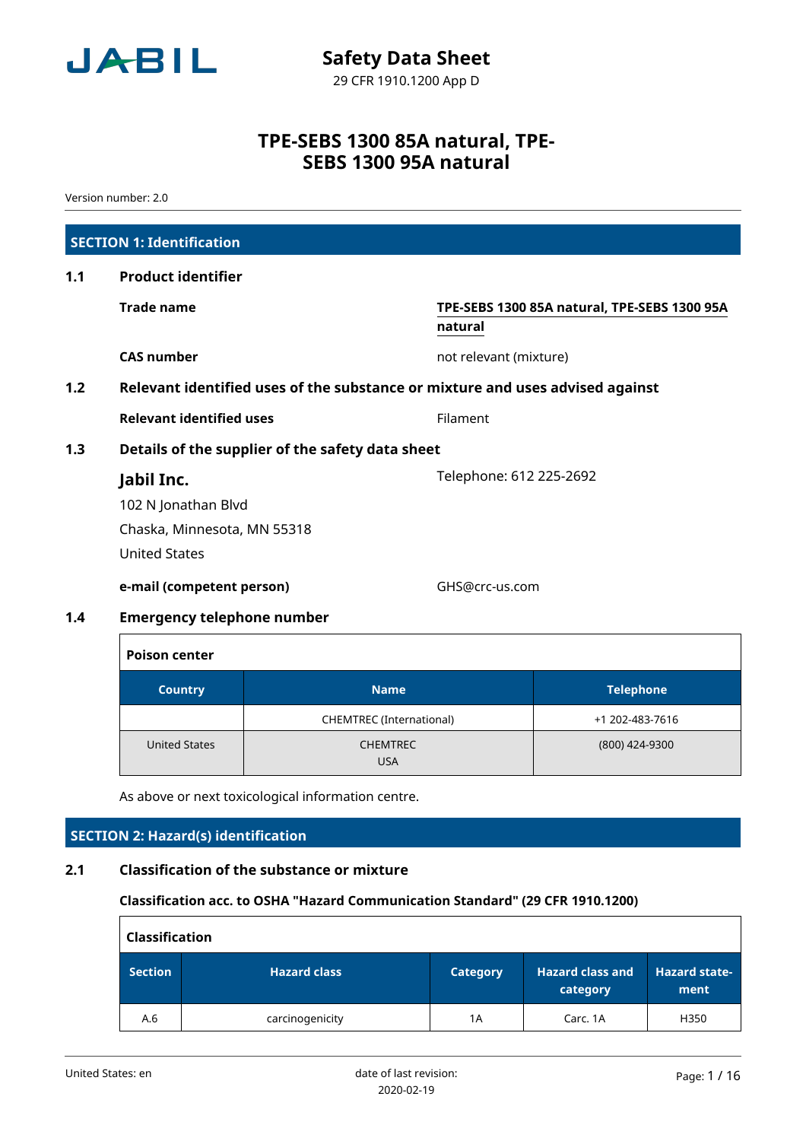

Version number: 2.0

|     | <b>SECTION 1: Identification</b>                                              |                                                         |
|-----|-------------------------------------------------------------------------------|---------------------------------------------------------|
| 1.1 | <b>Product identifier</b>                                                     |                                                         |
|     | <b>Trade name</b>                                                             | TPE-SEBS 1300 85A natural, TPE-SEBS 1300 95A<br>natural |
|     | <b>CAS number</b>                                                             | not relevant (mixture)                                  |
| 1.2 | Relevant identified uses of the substance or mixture and uses advised against |                                                         |
|     | <b>Relevant identified uses</b>                                               | Filament                                                |
| 1.3 | Details of the supplier of the safety data sheet                              |                                                         |
|     | Jabil Inc.                                                                    | Telephone: 612 225-2692                                 |
|     | 102 N Jonathan Blvd                                                           |                                                         |
|     | Chaska, Minnesota, MN 55318                                                   |                                                         |
|     | <b>United States</b>                                                          |                                                         |
|     | e-mail (competent person)                                                     | GHS@crc-us.com                                          |
| 1.4 | <b>Emergency telephone number</b>                                             |                                                         |

| <b>Poison center</b> |                               |                  |  |  |  |  |
|----------------------|-------------------------------|------------------|--|--|--|--|
| <b>Country</b>       | <b>Name</b>                   | <b>Telephone</b> |  |  |  |  |
|                      | CHEMTREC (International)      | +1 202-483-7616  |  |  |  |  |
| <b>United States</b> | <b>CHEMTREC</b><br><b>USA</b> | (800) 424-9300   |  |  |  |  |

As above or next toxicological information centre.

# **SECTION 2: Hazard(s) identification**

# **2.1 Classification of the substance or mixture**

# **Classification acc. to OSHA "Hazard Communication Standard" (29 CFR 1910.1200)**

|                | <b>Classification</b> |                 |                              |                              |  |  |  |
|----------------|-----------------------|-----------------|------------------------------|------------------------------|--|--|--|
| <b>Section</b> | <b>Hazard class</b>   | <b>Category</b> | Hazard class and<br>category | <b>Hazard state-</b><br>ment |  |  |  |
| A.6            | carcinogenicity       | 1Α              | Carc. 1A                     | H350                         |  |  |  |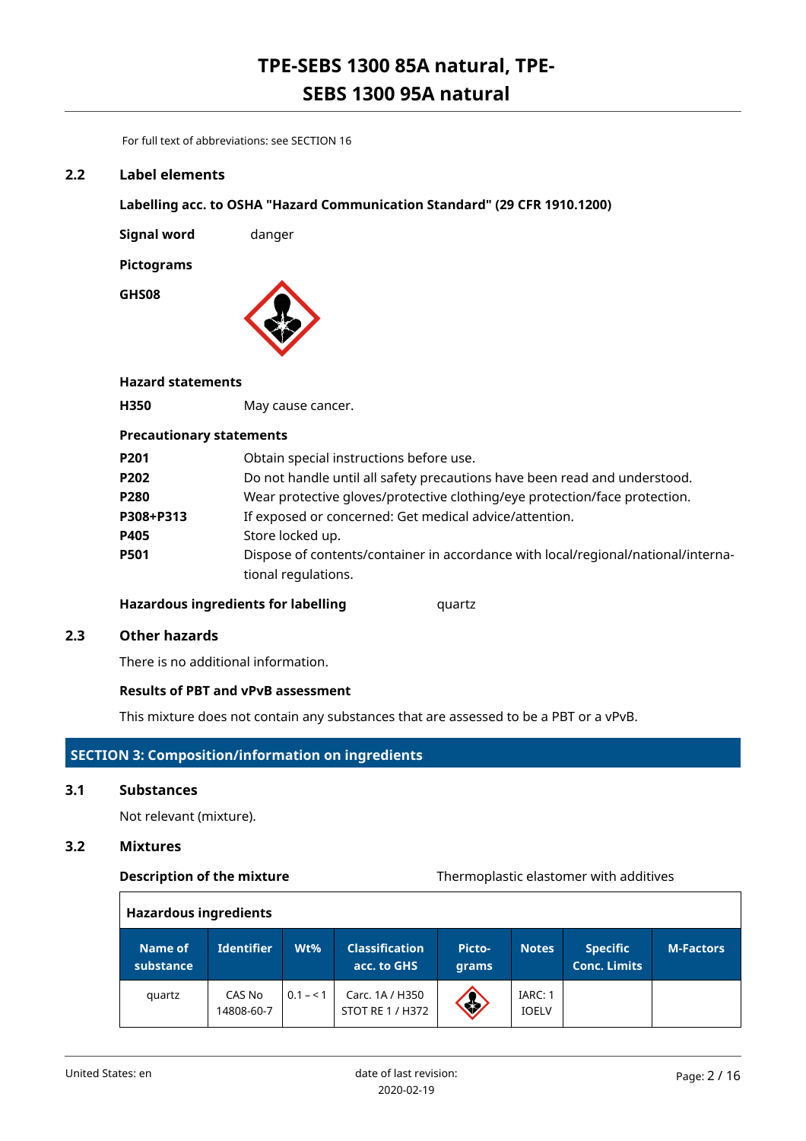For full text of abbreviations: see SECTION 16

# **2.2 Label elements**

**Labelling acc. to OSHA "Hazard Communication Standard" (29 CFR 1910.1200)**

**Signal word** danger

**Pictograms**

**GHS08**



# **Hazard statements**

**H350** May cause cancer.

# **Precautionary statements**

| P201      | Obtain special instructions before use.                                                                  |
|-----------|----------------------------------------------------------------------------------------------------------|
| P202      | Do not handle until all safety precautions have been read and understood.                                |
| P280      | Wear protective gloves/protective clothing/eye protection/face protection.                               |
| P308+P313 | If exposed or concerned: Get medical advice/attention.                                                   |
| P405      | Store locked up.                                                                                         |
| P501      | Dispose of contents/container in accordance with local/regional/national/interna-<br>tional regulations. |
|           |                                                                                                          |

# **Hazardous ingredients for labelling discriptional quartz**

# **2.3 Other hazards**

There is no additional information.

# **Results of PBT and vPvB assessment**

This mixture does not contain any substances that are assessed to be a PBT or a vPvB.

# **SECTION 3: Composition/information on ingredients**

# **3.1 Substances**

Not relevant (mixture).

# **3.2 Mixtures**

# **Description of the mixture** Thermoplastic elastomer with additives

| <b>Hazardous ingredients</b> |                      |           |                                      |                 |                         |                                        |                  |
|------------------------------|----------------------|-----------|--------------------------------------|-----------------|-------------------------|----------------------------------------|------------------|
| Name of<br>substance         | <b>Identifier</b>    | Wt%       | <b>Classification</b><br>acc. to GHS | Picto-<br>grams | <b>Notes</b>            | <b>Specific</b><br><b>Conc. Limits</b> | <b>M-Factors</b> |
| quartz                       | CAS No<br>14808-60-7 | $0.1 - 1$ | Carc. 1A / H350<br>STOT RE 1 / H372  | S               | IARC: 1<br><b>IOELV</b> |                                        |                  |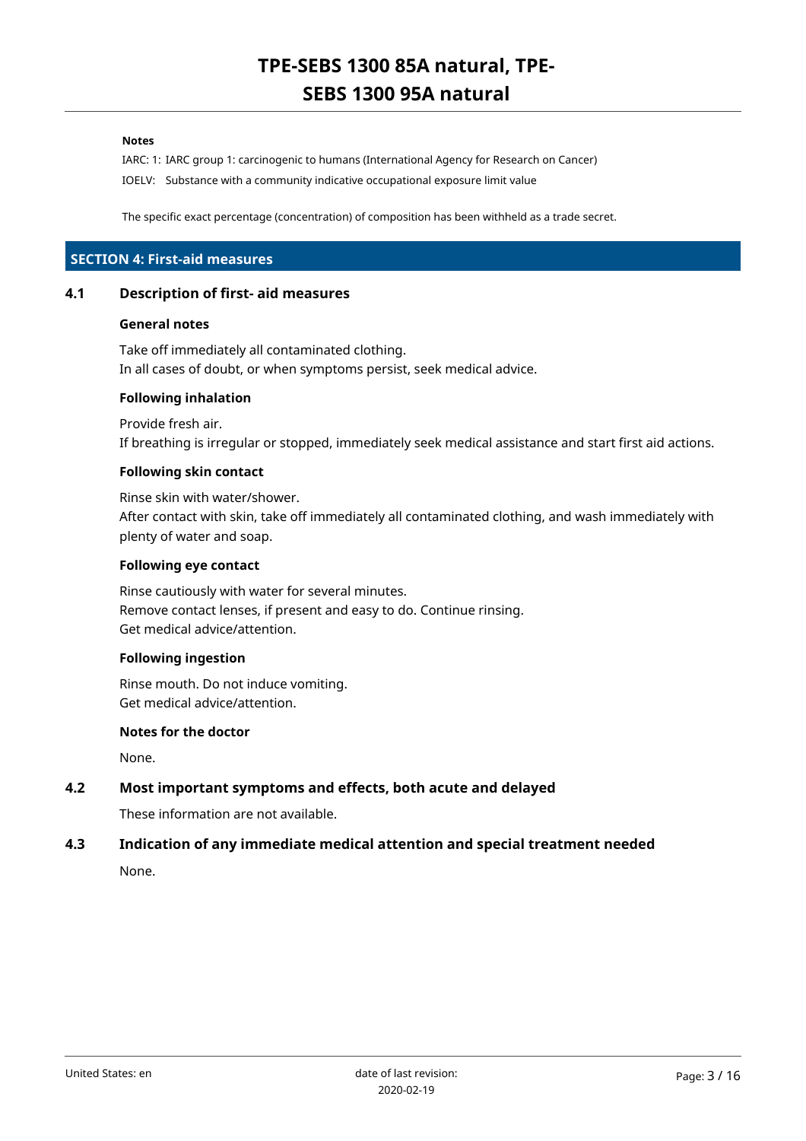### **Notes**

IARC: 1: IARC group 1: carcinogenic to humans (International Agency for Research on Cancer) IOELV: Substance with a community indicative occupational exposure limit value

The specific exact percentage (concentration) of composition has been withheld as a trade secret.

# **SECTION 4: First-aid measures**

#### **4.1 Description of first- aid measures**

#### **General notes**

Take off immediately all contaminated clothing. In all cases of doubt, or when symptoms persist, seek medical advice.

#### **Following inhalation**

Provide fresh air. If breathing is irregular or stopped, immediately seek medical assistance and start first aid actions.

#### **Following skin contact**

Rinse skin with water/shower. After contact with skin, take off immediately all contaminated clothing, and wash immediately with plenty of water and soap.

# **Following eye contact**

Rinse cautiously with water for several minutes. Remove contact lenses, if present and easy to do. Continue rinsing. Get medical advice/attention.

# **Following ingestion**

Rinse mouth. Do not induce vomiting. Get medical advice/attention.

#### **Notes for the doctor**

None.

# **4.2 Most important symptoms and effects, both acute and delayed**

These information are not available.

# **4.3 Indication of any immediate medical attention and special treatment needed**

None.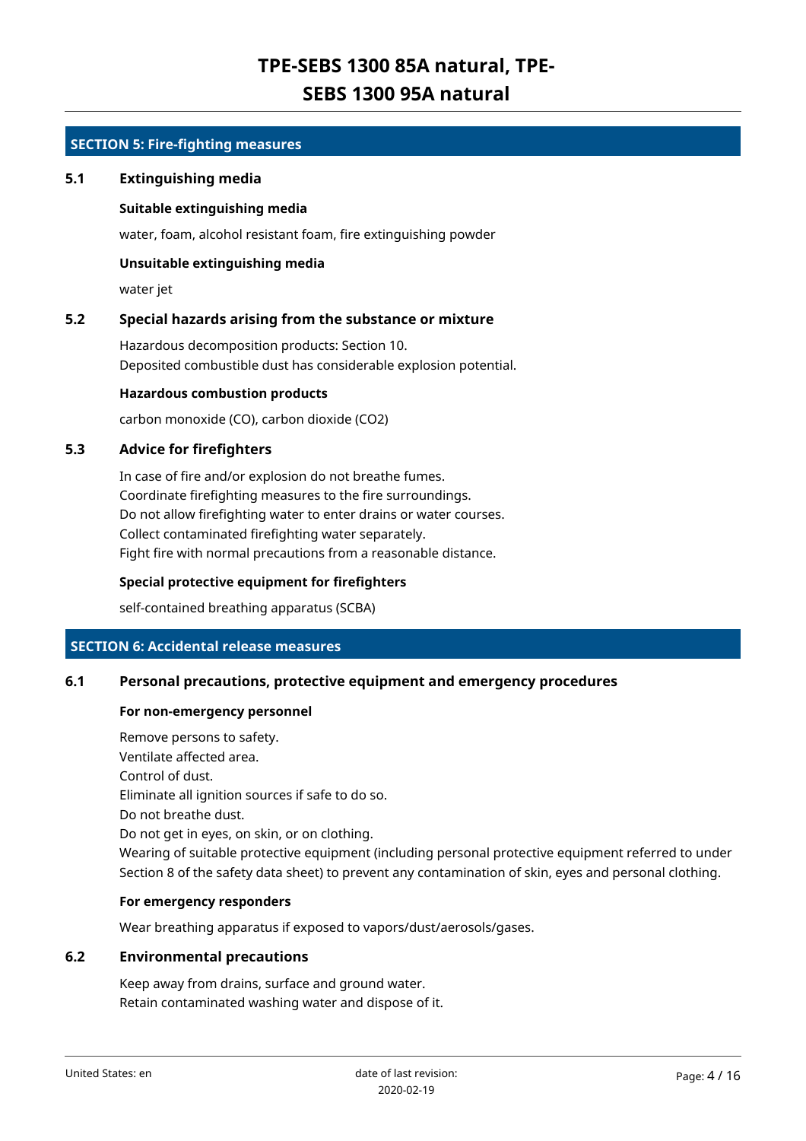# **SECTION 5: Fire-fighting measures**

# **5.1 Extinguishing media**

# **Suitable extinguishing media**

water, foam, alcohol resistant foam, fire extinguishing powder

# **Unsuitable extinguishing media**

water jet

# **5.2 Special hazards arising from the substance or mixture**

Hazardous decomposition products: Section 10. Deposited combustible dust has considerable explosion potential.

# **Hazardous combustion products**

carbon monoxide (CO), carbon dioxide (CO2)

# **5.3 Advice for firefighters**

In case of fire and/or explosion do not breathe fumes. Coordinate firefighting measures to the fire surroundings. Do not allow firefighting water to enter drains or water courses. Collect contaminated firefighting water separately. Fight fire with normal precautions from a reasonable distance.

# **Special protective equipment for firefighters**

self-contained breathing apparatus (SCBA)

# **SECTION 6: Accidental release measures**

# **6.1 Personal precautions, protective equipment and emergency procedures**

#### **For non-emergency personnel**

Remove persons to safety. Ventilate affected area. Control of dust. Eliminate all ignition sources if safe to do so. Do not breathe dust. Do not get in eyes, on skin, or on clothing. Wearing of suitable protective equipment (including personal protective equipment referred to under Section 8 of the safety data sheet) to prevent any contamination of skin, eyes and personal clothing.

# **For emergency responders**

Wear breathing apparatus if exposed to vapors/dust/aerosols/gases.

# **6.2 Environmental precautions**

Keep away from drains, surface and ground water. Retain contaminated washing water and dispose of it.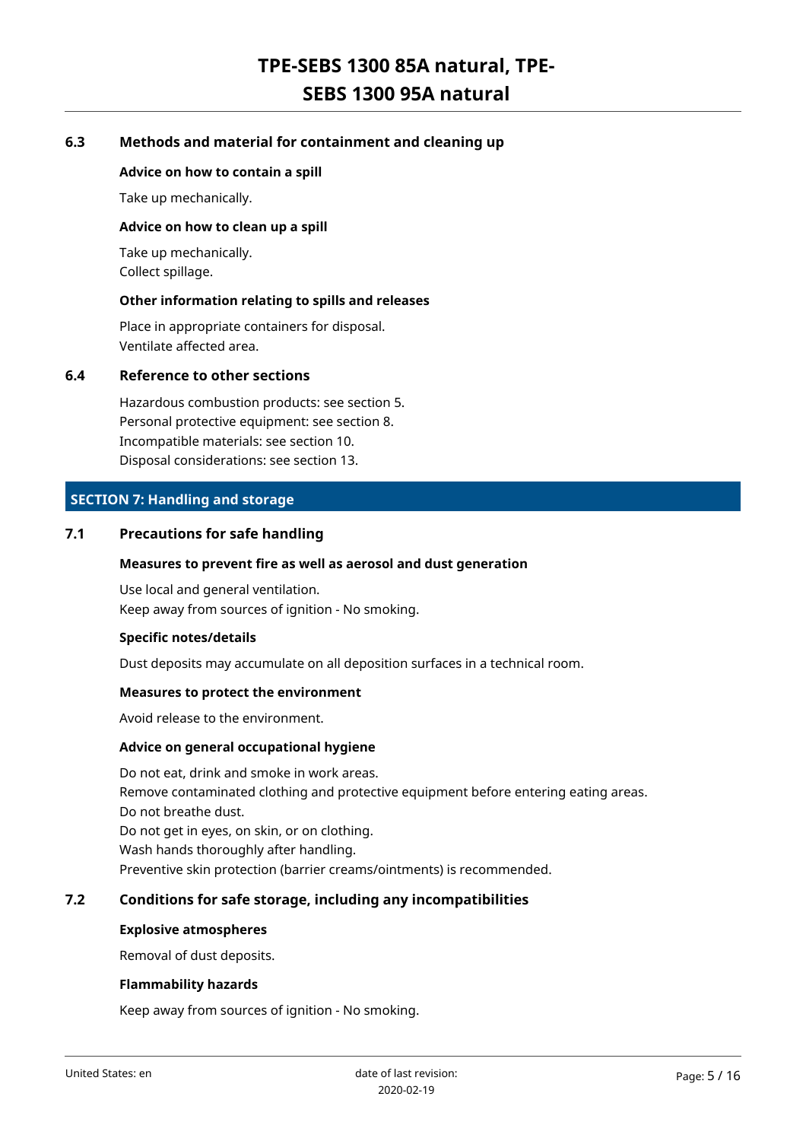# **6.3 Methods and material for containment and cleaning up**

# **Advice on how to contain a spill**

Take up mechanically.

#### **Advice on how to clean up a spill**

Take up mechanically. Collect spillage.

### **Other information relating to spills and releases**

Place in appropriate containers for disposal. Ventilate affected area.

# **6.4 Reference to other sections**

Hazardous combustion products: see section 5. Personal protective equipment: see section 8. Incompatible materials: see section 10. Disposal considerations: see section 13.

# **SECTION 7: Handling and storage**

# **7.1 Precautions for safe handling**

#### **Measures to prevent fire as well as aerosol and dust generation**

Use local and general ventilation. Keep away from sources of ignition - No smoking.

#### **Specific notes/details**

Dust deposits may accumulate on all deposition surfaces in a technical room.

#### **Measures to protect the environment**

Avoid release to the environment.

#### **Advice on general occupational hygiene**

Do not eat, drink and smoke in work areas. Remove contaminated clothing and protective equipment before entering eating areas. Do not breathe dust. Do not get in eyes, on skin, or on clothing. Wash hands thoroughly after handling. Preventive skin protection (barrier creams/ointments) is recommended.

# **7.2 Conditions for safe storage, including any incompatibilities**

### **Explosive atmospheres**

Removal of dust deposits.

#### **Flammability hazards**

Keep away from sources of ignition - No smoking.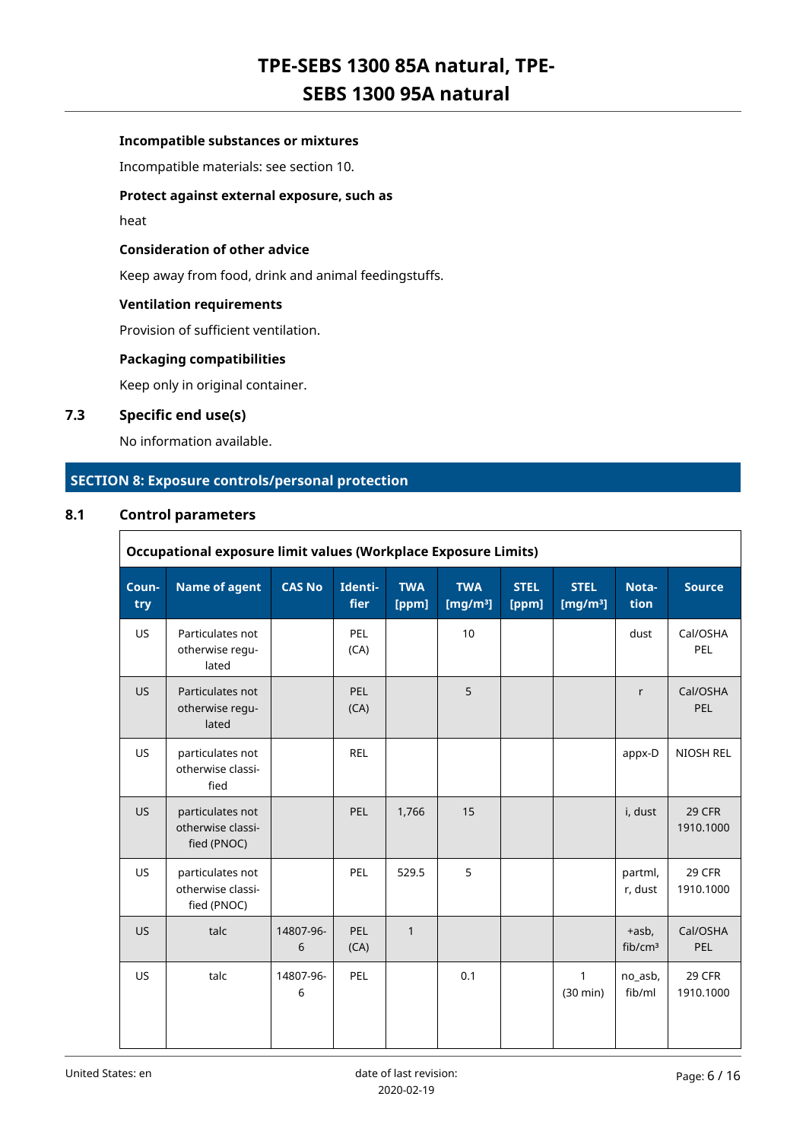# **Incompatible substances or mixtures**

Incompatible materials: see section 10.

# **Protect against external exposure, such as**

heat

# **Consideration of other advice**

Keep away from food, drink and animal feedingstuffs.

### **Ventilation requirements**

Provision of sufficient ventilation.

#### **Packaging compatibilities**

Keep only in original container.

# **7.3 Specific end use(s)**

No information available.

# **SECTION 8: Exposure controls/personal protection**

# **8.1 Control parameters**

 $\Gamma$ 

|              | <b>Occupational exposure limit values (Workplace Exposure Limits)</b> |                |                    |                     |                           |                      |                            |                                 |                        |
|--------------|-----------------------------------------------------------------------|----------------|--------------------|---------------------|---------------------------|----------------------|----------------------------|---------------------------------|------------------------|
| Coun-<br>try | <b>Name of agent</b>                                                  | <b>CAS No</b>  | Identi-<br>fier    | <b>TWA</b><br>[ppm] | <b>TWA</b><br>[ $mg/m3$ ] | <b>STEL</b><br>[ppm] | <b>STEL</b><br>[ $mg/m3$ ] | Nota-<br>tion                   | <b>Source</b>          |
| <b>US</b>    | Particulates not<br>otherwise regu-<br>lated                          |                | PEL<br>(CA)        |                     | 10                        |                      |                            | dust                            | Cal/OSHA<br>PEL        |
| <b>US</b>    | Particulates not<br>otherwise regu-<br>lated                          |                | <b>PEL</b><br>(CA) |                     | 5                         |                      |                            | r                               | Cal/OSHA<br><b>PEL</b> |
| <b>US</b>    | particulates not<br>otherwise classi-<br>fied                         |                | <b>REL</b>         |                     |                           |                      |                            | appx-D                          | NIOSH REL              |
| <b>US</b>    | particulates not<br>otherwise classi-<br>fied (PNOC)                  |                | PEL                | 1,766               | 15                        |                      |                            | i, dust                         | 29 CFR<br>1910.1000    |
| <b>US</b>    | particulates not<br>otherwise classi-<br>fied (PNOC)                  |                | PEL                | 529.5               | 5                         |                      |                            | partml,<br>r, dust              | 29 CFR<br>1910.1000    |
| <b>US</b>    | talc                                                                  | 14807-96-<br>6 | PEL<br>(CA)        | $\mathbf{1}$        |                           |                      |                            | $+$ asb,<br>fib/cm <sup>3</sup> | Cal/OSHA<br>PEL        |
| <b>US</b>    | talc                                                                  | 14807-96-<br>6 | PEL                |                     | 0.1                       |                      | 1<br>$(30 \text{ min})$    | no asb,<br>fib/ml               | 29 CFR<br>1910.1000    |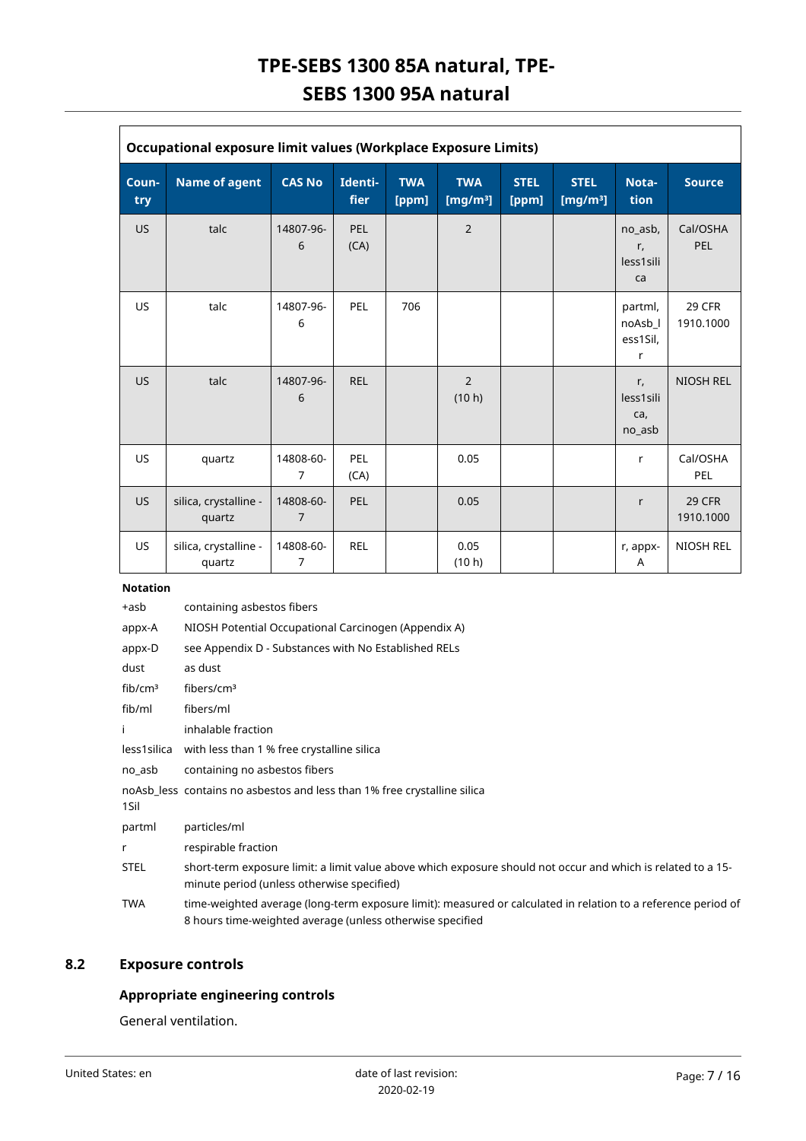| <b>Occupational exposure limit values (Workplace Exposure Limits)</b> |                                 |                             |                        |                     |                           |                      |                            |                                     |                            |
|-----------------------------------------------------------------------|---------------------------------|-----------------------------|------------------------|---------------------|---------------------------|----------------------|----------------------------|-------------------------------------|----------------------------|
| Coun-<br>try                                                          | <b>Name of agent</b>            | <b>CAS No</b>               | Identi-<br><b>fier</b> | <b>TWA</b><br>[ppm] | <b>TWA</b><br>[ $mg/m3$ ] | <b>STEL</b><br>[ppm] | <b>STEL</b><br>[ $mg/m3$ ] | Nota-<br>tion                       | Source                     |
| <b>US</b>                                                             | talc                            | 14807-96-<br>6              | PEL<br>(CA)            |                     | $\overline{2}$            |                      |                            | no_asb,<br>r,<br>less1sili<br>ca    | Cal/OSHA<br><b>PEL</b>     |
| <b>US</b>                                                             | talc                            | 14807-96-<br>6              | PEL                    | 706                 |                           |                      |                            | partml,<br>noAsb_l<br>ess1Sil,<br>r | <b>29 CFR</b><br>1910.1000 |
| <b>US</b>                                                             | talc                            | 14807-96-<br>6              | <b>REL</b>             |                     | 2<br>(10 h)               |                      |                            | r,<br>less1sili<br>ca,<br>no_asb    | <b>NIOSH REL</b>           |
| <b>US</b>                                                             | quartz                          | 14808-60-<br>$\overline{7}$ | PEL<br>(CA)            |                     | 0.05                      |                      |                            | r                                   | Cal/OSHA<br>PEL            |
| <b>US</b>                                                             | silica, crystalline -<br>quartz | 14808-60-<br>$\overline{7}$ | PEL                    |                     | 0.05                      |                      |                            | r                                   | <b>29 CFR</b><br>1910.1000 |
| <b>US</b>                                                             | silica, crystalline -<br>quartz | 14808-60-<br>7              | <b>REL</b>             |                     | 0.05<br>(10 h)            |                      |                            | r, appx-<br>Α                       | <b>NIOSH REL</b>           |

# **Notation**

| +asb                | containing asbestos fibers                                                                                                                                                 |
|---------------------|----------------------------------------------------------------------------------------------------------------------------------------------------------------------------|
| appx-A              | NIOSH Potential Occupational Carcinogen (Appendix A)                                                                                                                       |
| appx-D              | see Appendix D - Substances with No Established RELs                                                                                                                       |
| dust                | as dust                                                                                                                                                                    |
| fib/cm <sup>3</sup> | fibers/cm <sup>3</sup>                                                                                                                                                     |
| fib/ml              | fibers/ml                                                                                                                                                                  |
|                     | inhalable fraction                                                                                                                                                         |
| less1silica         | with less than 1 % free crystalline silica                                                                                                                                 |
| no asb              | containing no asbestos fibers                                                                                                                                              |
| 1Sil                | noAsb less contains no asbestos and less than 1% free crystalline silica                                                                                                   |
| partml              | particles/ml                                                                                                                                                               |
| r                   | respirable fraction                                                                                                                                                        |
| STEL                | short-term exposure limit: a limit value above which exposure should not occur and which is related to a 15-<br>minute period (unless otherwise specified)                 |
| <b>TWA</b>          | time-weighted average (long-term exposure limit): measured or calculated in relation to a reference period of<br>8 hours time-weighted average (unless otherwise specified |

# **8.2 Exposure controls**

# **Appropriate engineering controls**

General ventilation.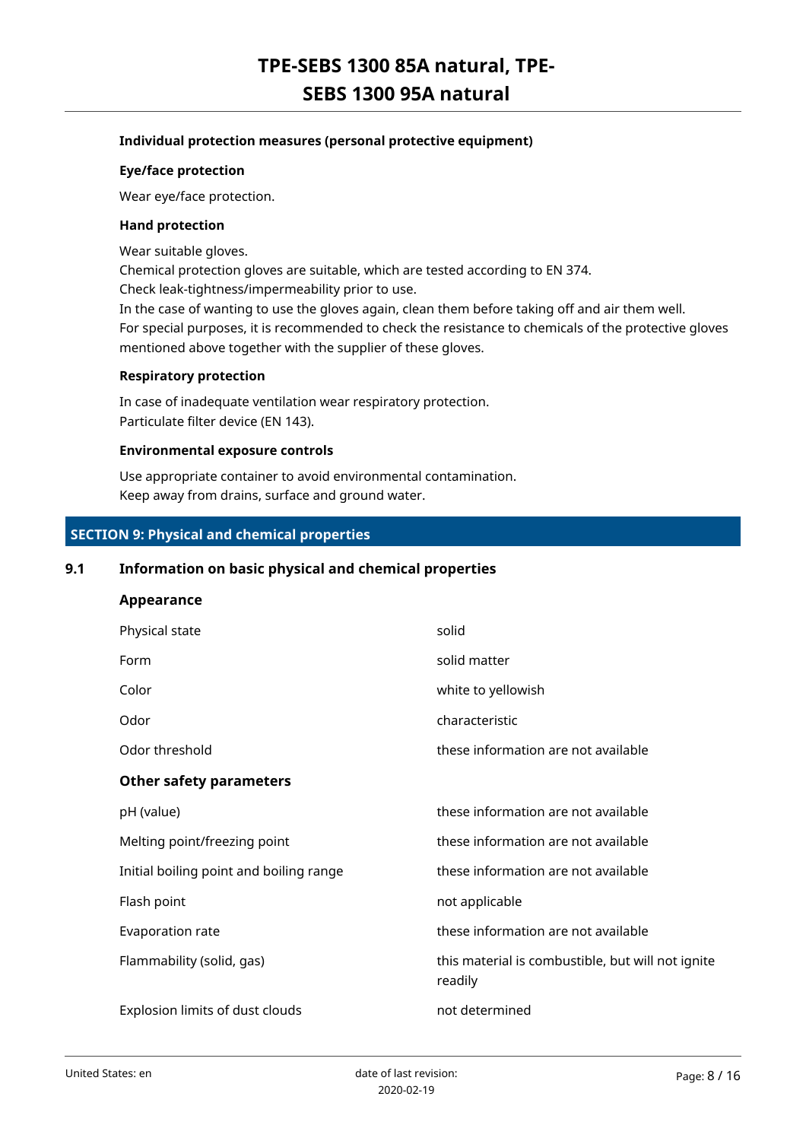# **Individual protection measures (personal protective equipment)**

### **Eye/face protection**

Wear eye/face protection.

#### **Hand protection**

Wear suitable gloves.

Chemical protection gloves are suitable, which are tested according to EN 374.

Check leak-tightness/impermeability prior to use.

In the case of wanting to use the gloves again, clean them before taking off and air them well. For special purposes, it is recommended to check the resistance to chemicals of the protective gloves mentioned above together with the supplier of these gloves.

### **Respiratory protection**

In case of inadequate ventilation wear respiratory protection. Particulate filter device (EN 143).

# **Environmental exposure controls**

Use appropriate container to avoid environmental contamination. Keep away from drains, surface and ground water.

# **SECTION 9: Physical and chemical properties**

# **9.1 Information on basic physical and chemical properties**

# **Appearance**

| Physical state                          | solid                                                        |
|-----------------------------------------|--------------------------------------------------------------|
| Form                                    | solid matter                                                 |
| Color                                   | white to yellowish                                           |
| Odor                                    | characteristic                                               |
| Odor threshold                          | these information are not available                          |
| <b>Other safety parameters</b>          |                                                              |
| pH (value)                              | these information are not available                          |
| Melting point/freezing point            | these information are not available                          |
| Initial boiling point and boiling range | these information are not available                          |
| Flash point                             | not applicable                                               |
| Evaporation rate                        | these information are not available                          |
| Flammability (solid, gas)               | this material is combustible, but will not ignite<br>readily |
| Explosion limits of dust clouds         | not determined                                               |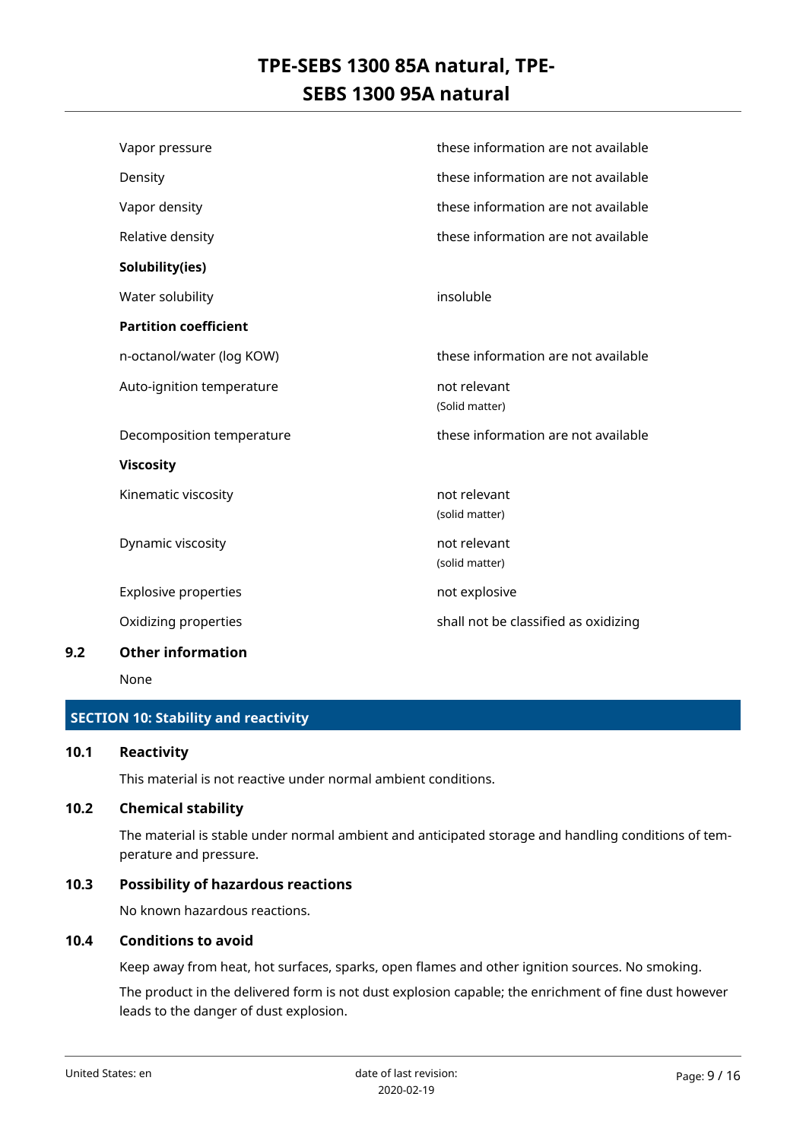| Vapor pressure               | these information are not available  |
|------------------------------|--------------------------------------|
| Density                      | these information are not available  |
| Vapor density                | these information are not available  |
| Relative density             | these information are not available  |
| Solubility(ies)              |                                      |
| Water solubility             | insoluble                            |
| <b>Partition coefficient</b> |                                      |
| n-octanol/water (log KOW)    | these information are not available  |
| Auto-ignition temperature    | not relevant                         |
|                              | (Solid matter)                       |
| Decomposition temperature    | these information are not available  |
| <b>Viscosity</b>             |                                      |
| Kinematic viscosity          | not relevant                         |
|                              | (solid matter)                       |
| Dynamic viscosity            | not relevant                         |
|                              | (solid matter)                       |
| <b>Explosive properties</b>  | not explosive                        |
| Oxidizing properties         | shall not be classified as oxidizing |
| valore de la financia de la  |                                      |

# **9.2 Other information**

None

# **SECTION 10: Stability and reactivity**

# **10.1 Reactivity**

This material is not reactive under normal ambient conditions.

# **10.2 Chemical stability**

The material is stable under normal ambient and anticipated storage and handling conditions of temperature and pressure.

# **10.3 Possibility of hazardous reactions**

No known hazardous reactions.

# **10.4 Conditions to avoid**

Keep away from heat, hot surfaces, sparks, open flames and other ignition sources. No smoking.

The product in the delivered form is not dust explosion capable; the enrichment of fine dust however leads to the danger of dust explosion.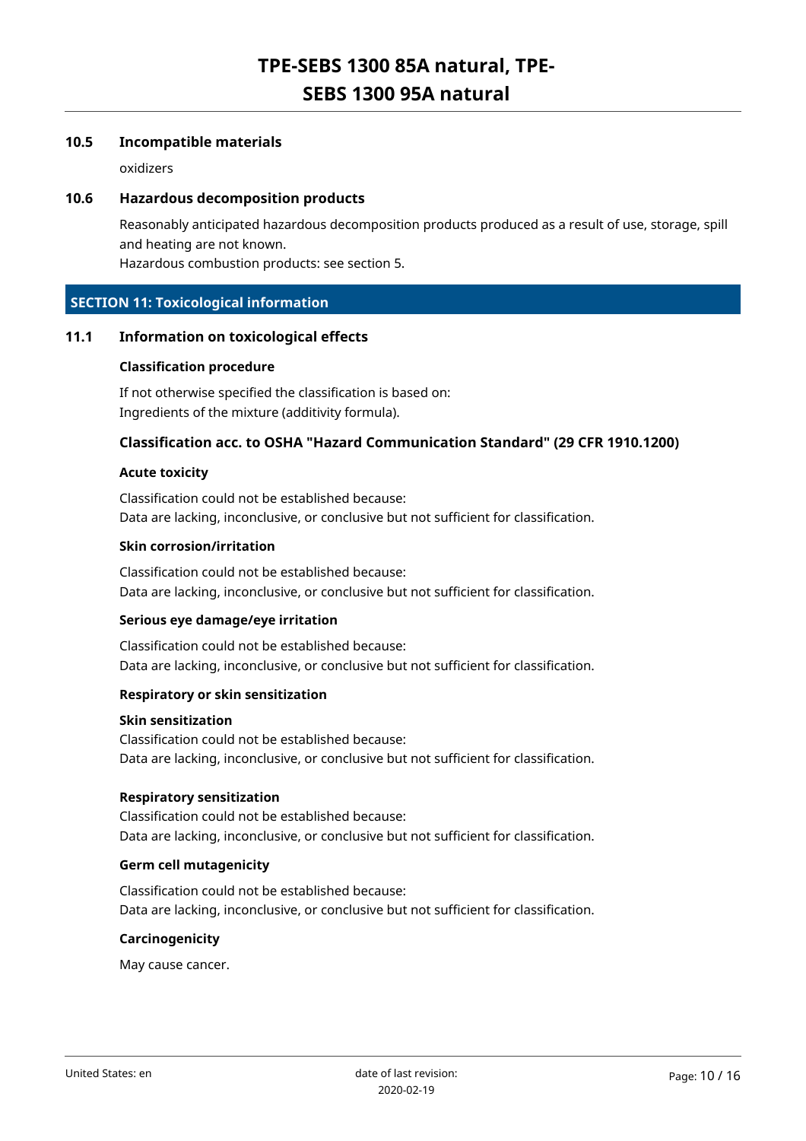# **10.5 Incompatible materials**

oxidizers

# **10.6 Hazardous decomposition products**

Reasonably anticipated hazardous decomposition products produced as a result of use, storage, spill and heating are not known.

Hazardous combustion products: see section 5.

# **SECTION 11: Toxicological information**

# **11.1 Information on toxicological effects**

#### **Classification procedure**

If not otherwise specified the classification is based on: Ingredients of the mixture (additivity formula).

# **Classification acc. to OSHA "Hazard Communication Standard" (29 CFR 1910.1200)**

#### **Acute toxicity**

Classification could not be established because: Data are lacking, inconclusive, or conclusive but not sufficient for classification.

#### **Skin corrosion/irritation**

Classification could not be established because: Data are lacking, inconclusive, or conclusive but not sufficient for classification.

#### **Serious eye damage/eye irritation**

Classification could not be established because: Data are lacking, inconclusive, or conclusive but not sufficient for classification.

#### **Respiratory or skin sensitization**

# **Skin sensitization**

Classification could not be established because: Data are lacking, inconclusive, or conclusive but not sufficient for classification.

#### **Respiratory sensitization**

Classification could not be established because: Data are lacking, inconclusive, or conclusive but not sufficient for classification.

### **Germ cell mutagenicity**

Classification could not be established because: Data are lacking, inconclusive, or conclusive but not sufficient for classification.

#### **Carcinogenicity**

May cause cancer.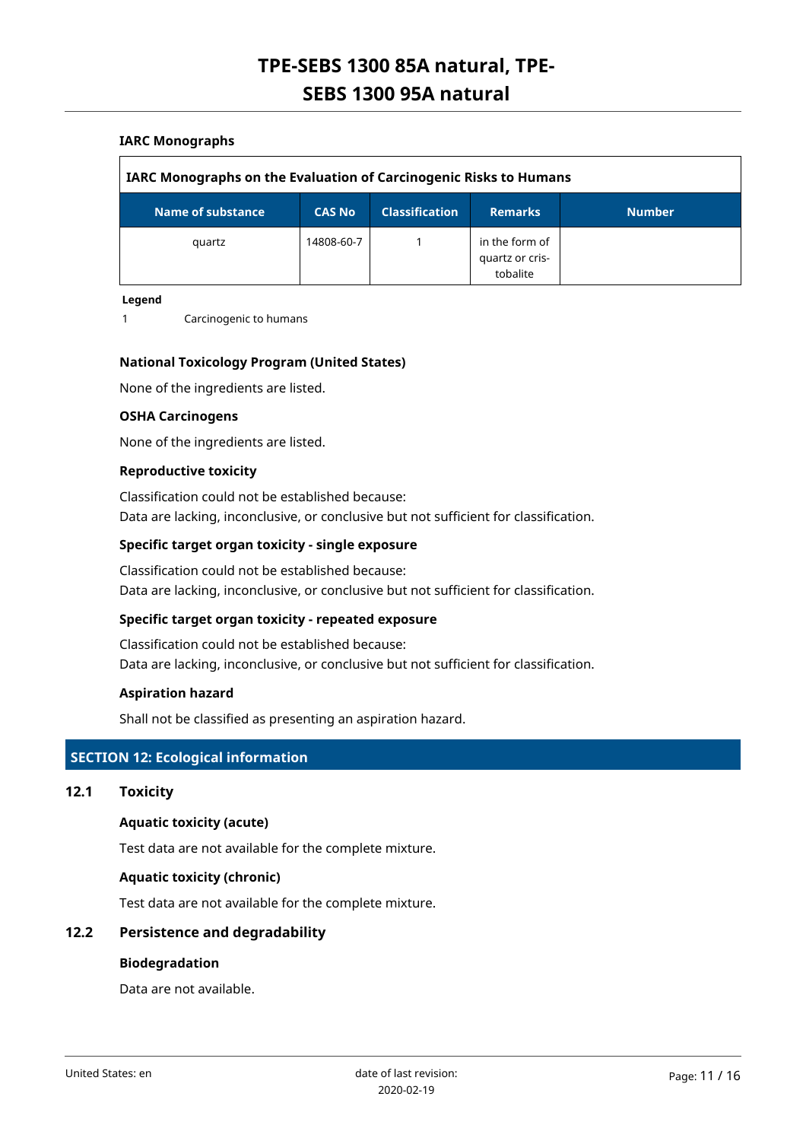# **IARC Monographs**

| <b>IARC Monographs on the Evaluation of Carcinogenic Risks to Humans</b> |               |                       |                                               |               |  |  |
|--------------------------------------------------------------------------|---------------|-----------------------|-----------------------------------------------|---------------|--|--|
| Name of substance                                                        | <b>CAS No</b> | <b>Classification</b> | <b>Remarks</b>                                | <b>Number</b> |  |  |
| quartz                                                                   | 14808-60-7    |                       | in the form of<br>quartz or cris-<br>tobalite |               |  |  |

#### **Legend**

1 Carcinogenic to humans

### **National Toxicology Program (United States)**

None of the ingredients are listed.

#### **OSHA Carcinogens**

None of the ingredients are listed.

#### **Reproductive toxicity**

Classification could not be established because: Data are lacking, inconclusive, or conclusive but not sufficient for classification.

# **Specific target organ toxicity - single exposure**

Classification could not be established because: Data are lacking, inconclusive, or conclusive but not sufficient for classification.

#### **Specific target organ toxicity - repeated exposure**

Classification could not be established because: Data are lacking, inconclusive, or conclusive but not sufficient for classification.

#### **Aspiration hazard**

Shall not be classified as presenting an aspiration hazard.

# **SECTION 12: Ecological information**

### **12.1 Toxicity**

# **Aquatic toxicity (acute)**

Test data are not available for the complete mixture.

#### **Aquatic toxicity (chronic)**

Test data are not available for the complete mixture.

# **12.2 Persistence and degradability**

### **Biodegradation**

Data are not available.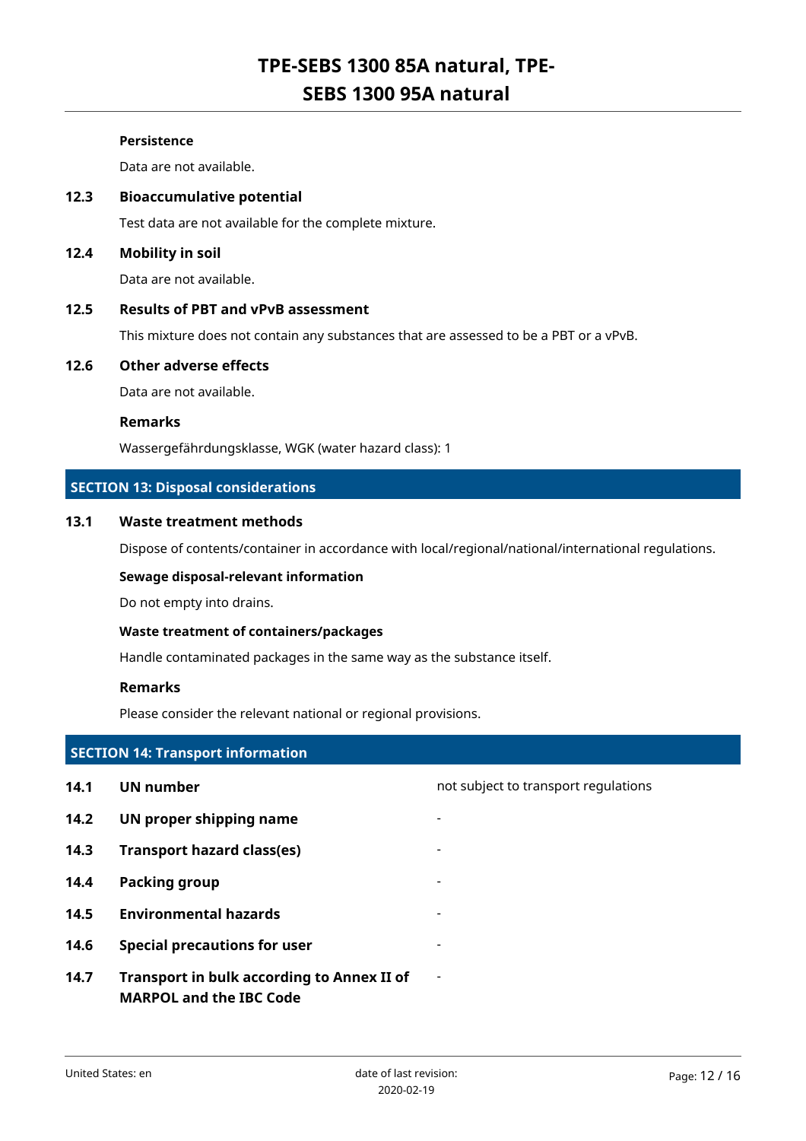# **Persistence**

Data are not available.

# **12.3 Bioaccumulative potential**

Test data are not available for the complete mixture.

# **12.4 Mobility in soil**

Data are not available.

# **12.5 Results of PBT and vPvB assessment**

This mixture does not contain any substances that are assessed to be a PBT or a vPvB.

# **12.6 Other adverse effects**

Data are not available.

### **Remarks**

Wassergefährdungsklasse, WGK (water hazard class): 1

# **SECTION 13: Disposal considerations**

# **13.1 Waste treatment methods**

Dispose of contents/container in accordance with local/regional/national/international regulations.

#### **Sewage disposal-relevant information**

Do not empty into drains.

## **Waste treatment of containers/packages**

Handle contaminated packages in the same way as the substance itself.

#### **Remarks**

Please consider the relevant national or regional provisions.

# **SECTION 14: Transport information**

| 14.1 | UN number                                                                    | not subject to transport regulations |
|------|------------------------------------------------------------------------------|--------------------------------------|
| 14.2 | UN proper shipping name                                                      |                                      |
| 14.3 | <b>Transport hazard class(es)</b>                                            | $\overline{\phantom{a}}$             |
| 14.4 | Packing group                                                                |                                      |
| 14.5 | <b>Environmental hazards</b>                                                 |                                      |
| 14.6 | <b>Special precautions for user</b>                                          |                                      |
| 14.7 | Transport in bulk according to Annex II of<br><b>MARPOL and the IBC Code</b> | $\blacksquare$                       |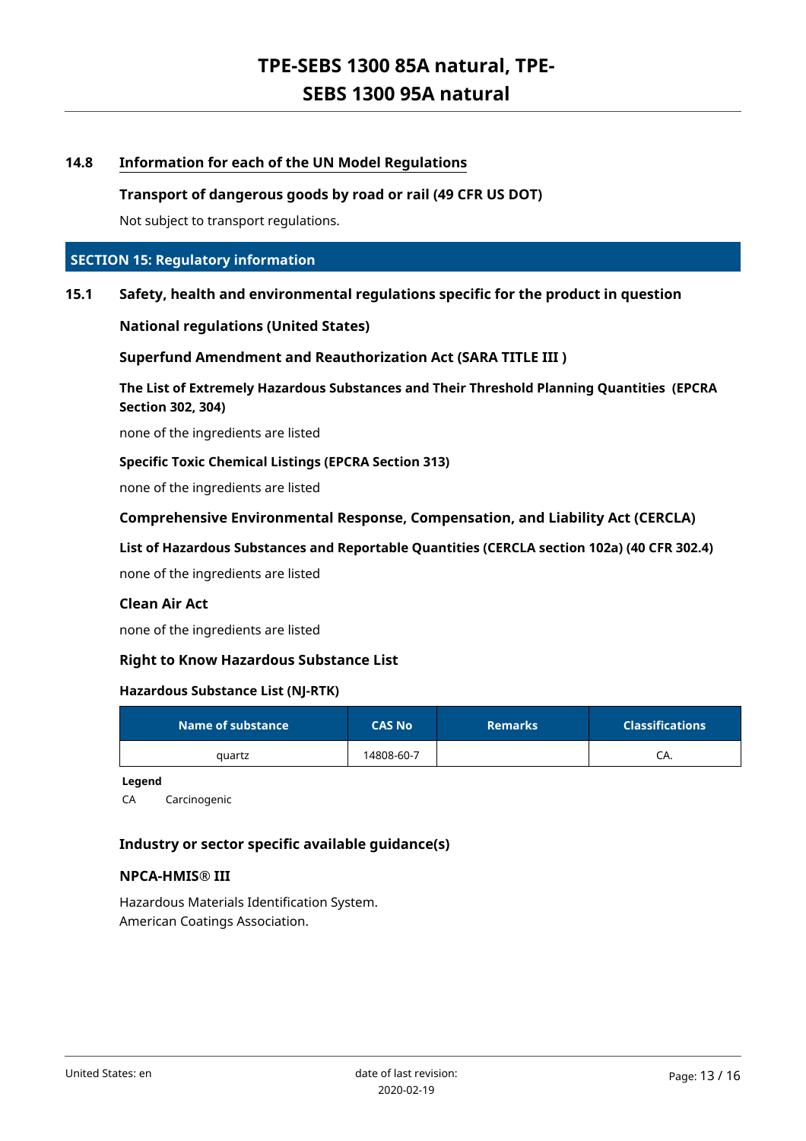# **14.8 Information for each of the UN Model Regulations**

# **Transport of dangerous goods by road or rail (49 CFR US DOT)**

Not subject to transport regulations.

# **SECTION 15: Regulatory information**

# **15.1 Safety, health and environmental regulations specific for the product in question**

**National regulations (United States)**

**Superfund Amendment and Reauthorization Act (SARA TITLE III )**

**The List of Extremely Hazardous Substances and Their Threshold Planning Quantities (EPCRA Section 302, 304)**

none of the ingredients are listed

#### **Specific Toxic Chemical Listings (EPCRA Section 313)**

none of the ingredients are listed

**Comprehensive Environmental Response, Compensation, and Liability Act (CERCLA)**

**List of Hazardous Substances and Reportable Quantities (CERCLA section 102a) (40 CFR 302.4)**

none of the ingredients are listed

# **Clean Air Act**

none of the ingredients are listed

# **Right to Know Hazardous Substance List**

#### **Hazardous Substance List (NJ-RTK)**

| Name of substance | <b>CAS No</b> | <b>Remarks</b> | <b>Classifications</b> |
|-------------------|---------------|----------------|------------------------|
| quartz            | 14808-60-7    |                | CA.                    |

**Legend**

CA Carcinogenic

# **Industry or sector specific available guidance(s)**

#### **NPCA-HMIS® III**

Hazardous Materials Identification System. American Coatings Association.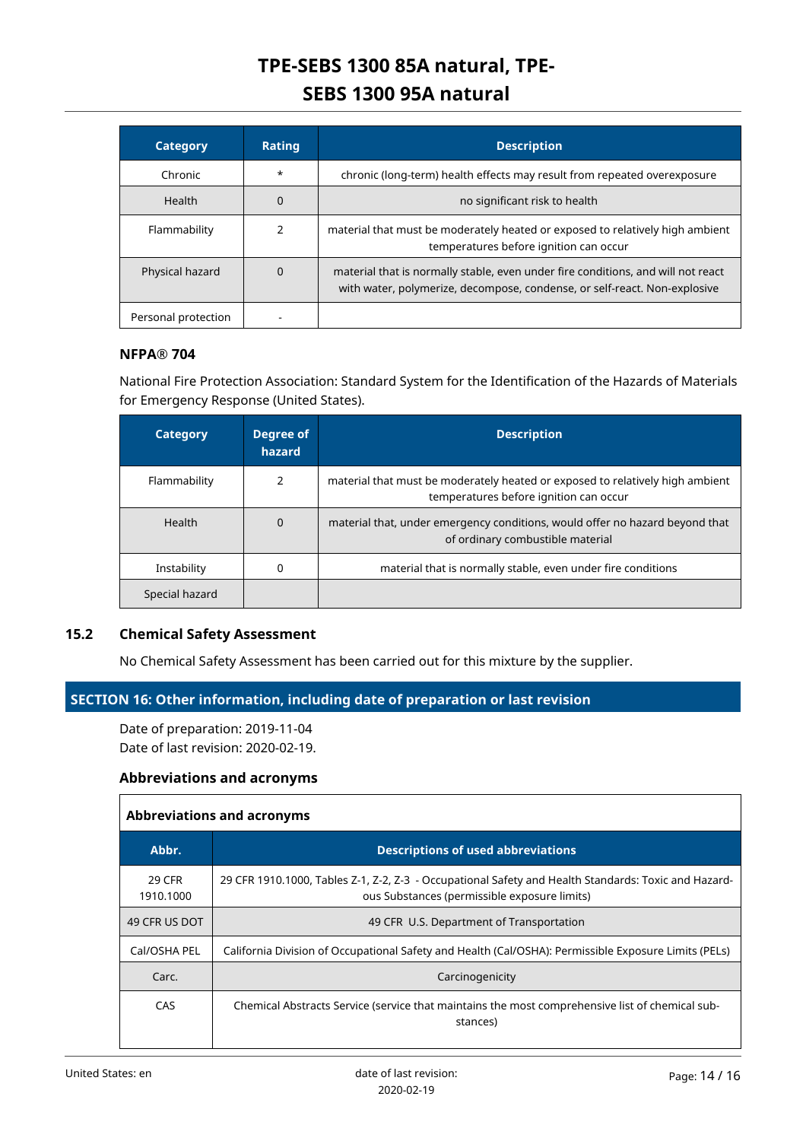| <b>Category</b>     | <b>Rating</b> | <b>Description</b>                                                                                                                                            |
|---------------------|---------------|---------------------------------------------------------------------------------------------------------------------------------------------------------------|
| Chronic             | $\star$       | chronic (long-term) health effects may result from repeated overexposure                                                                                      |
| Health              | 0             | no significant risk to health                                                                                                                                 |
| Flammability        |               | material that must be moderately heated or exposed to relatively high ambient<br>temperatures before ignition can occur                                       |
| Physical hazard     | 0             | material that is normally stable, even under fire conditions, and will not react<br>with water, polymerize, decompose, condense, or self-react. Non-explosive |
| Personal protection |               |                                                                                                                                                               |

# **NFPA® 704**

National Fire Protection Association: Standard System for the Identification of the Hazards of Materials for Emergency Response (United States).

| <b>Category</b> | Degree of<br>hazard | <b>Description</b>                                                                                                      |
|-----------------|---------------------|-------------------------------------------------------------------------------------------------------------------------|
| Flammability    | 2                   | material that must be moderately heated or exposed to relatively high ambient<br>temperatures before ignition can occur |
| Health          | $\Omega$            | material that, under emergency conditions, would offer no hazard beyond that<br>of ordinary combustible material        |
| Instability     | 0                   | material that is normally stable, even under fire conditions                                                            |
| Special hazard  |                     |                                                                                                                         |

# **15.2 Chemical Safety Assessment**

No Chemical Safety Assessment has been carried out for this mixture by the supplier.

# **SECTION 16: Other information, including date of preparation or last revision**

Date of preparation: 2019-11-04 Date of last revision: 2020-02-19.

# **Abbreviations and acronyms**

| <b>Abbreviations and acronyms</b> |                                                                                                                                                      |  |
|-----------------------------------|------------------------------------------------------------------------------------------------------------------------------------------------------|--|
| Abbr.                             | <b>Descriptions of used abbreviations</b>                                                                                                            |  |
| 29 CFR<br>1910.1000               | 29 CFR 1910.1000, Tables Z-1, Z-2, Z-3 - Occupational Safety and Health Standards: Toxic and Hazard-<br>ous Substances (permissible exposure limits) |  |
| 49 CFR US DOT                     | 49 CFR U.S. Department of Transportation                                                                                                             |  |
| Cal/OSHA PEL                      | California Division of Occupational Safety and Health (Cal/OSHA): Permissible Exposure Limits (PELs)                                                 |  |
| Carc.                             | Carcinogenicity                                                                                                                                      |  |
| CAS                               | Chemical Abstracts Service (service that maintains the most comprehensive list of chemical sub-<br>stances)                                          |  |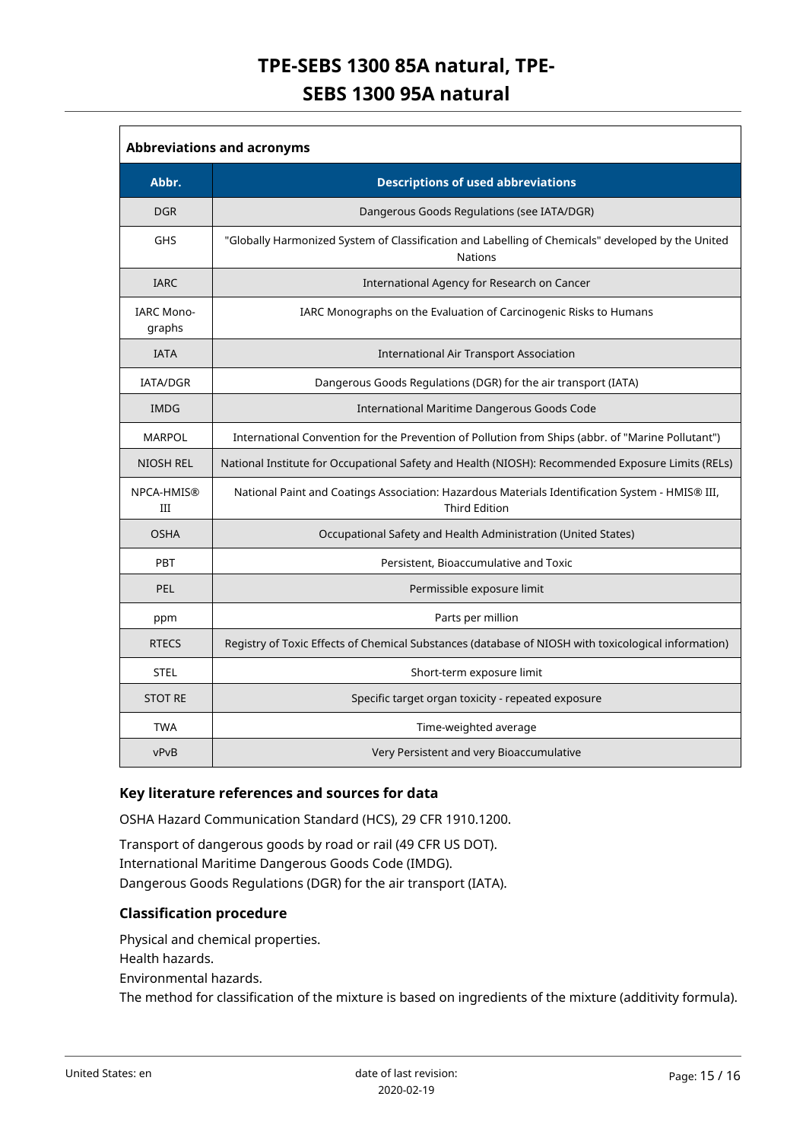| <b>Abbreviations and acronyms</b> |                                                                                                                         |  |
|-----------------------------------|-------------------------------------------------------------------------------------------------------------------------|--|
| Abbr.                             | <b>Descriptions of used abbreviations</b>                                                                               |  |
| <b>DGR</b>                        | Dangerous Goods Regulations (see IATA/DGR)                                                                              |  |
| GHS                               | "Globally Harmonized System of Classification and Labelling of Chemicals" developed by the United<br><b>Nations</b>     |  |
| <b>IARC</b>                       | International Agency for Research on Cancer                                                                             |  |
| <b>IARC Mono-</b><br>graphs       | IARC Monographs on the Evaluation of Carcinogenic Risks to Humans                                                       |  |
| <b>IATA</b>                       | <b>International Air Transport Association</b>                                                                          |  |
| <b>IATA/DGR</b>                   | Dangerous Goods Regulations (DGR) for the air transport (IATA)                                                          |  |
| <b>IMDG</b>                       | International Maritime Dangerous Goods Code                                                                             |  |
| <b>MARPOL</b>                     | International Convention for the Prevention of Pollution from Ships (abbr. of "Marine Pollutant")                       |  |
| <b>NIOSH REL</b>                  | National Institute for Occupational Safety and Health (NIOSH): Recommended Exposure Limits (RELs)                       |  |
| NPCA-HMIS®<br>III                 | National Paint and Coatings Association: Hazardous Materials Identification System - HMIS® III,<br><b>Third Edition</b> |  |
| <b>OSHA</b>                       | Occupational Safety and Health Administration (United States)                                                           |  |
| PBT                               | Persistent, Bioaccumulative and Toxic                                                                                   |  |
| PEL                               | Permissible exposure limit                                                                                              |  |
| ppm                               | Parts per million                                                                                                       |  |
| <b>RTECS</b>                      | Registry of Toxic Effects of Chemical Substances (database of NIOSH with toxicological information)                     |  |
| <b>STEL</b>                       | Short-term exposure limit                                                                                               |  |
| <b>STOT RE</b>                    | Specific target organ toxicity - repeated exposure                                                                      |  |
| <b>TWA</b>                        | Time-weighted average                                                                                                   |  |
| vPvB                              | Very Persistent and very Bioaccumulative                                                                                |  |

# **Key literature references and sources for data**

OSHA Hazard Communication Standard (HCS), 29 CFR 1910.1200.

Transport of dangerous goods by road or rail (49 CFR US DOT). International Maritime Dangerous Goods Code (IMDG). Dangerous Goods Regulations (DGR) for the air transport (IATA).

# **Classification procedure**

Physical and chemical properties. Health hazards. Environmental hazards. The method for classification of the mixture is based on ingredients of the mixture (additivity formula).

 $\overline{1}$